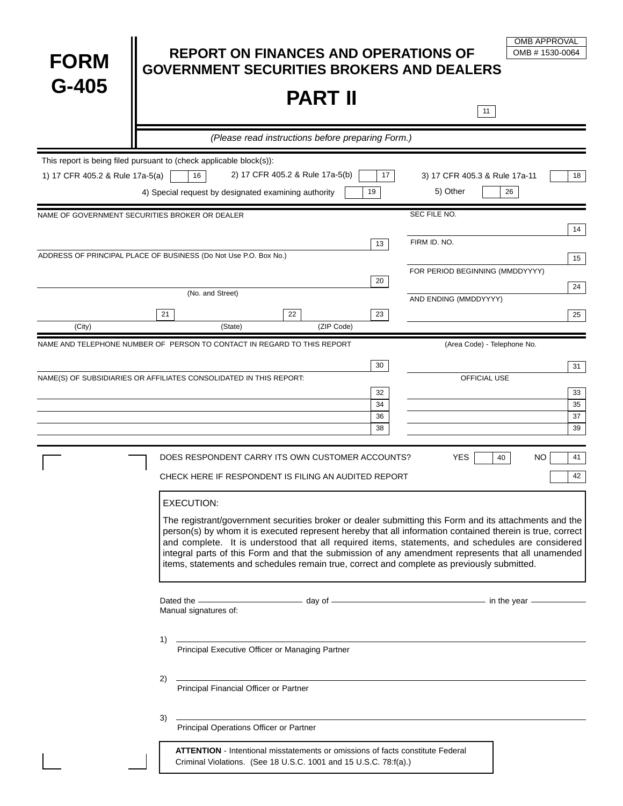| <b>FORM</b>                     | <b>REPORT ON FINANCES AND OPERATIONS OF</b><br><b>GOVERNMENT SECURITIES BROKERS AND DEALERS</b>                                                                                                                                                                                                                                                                                                                                                                                                                                                  | <b>OMB APPROVAL</b><br>OMB #1530-0064                 |
|---------------------------------|--------------------------------------------------------------------------------------------------------------------------------------------------------------------------------------------------------------------------------------------------------------------------------------------------------------------------------------------------------------------------------------------------------------------------------------------------------------------------------------------------------------------------------------------------|-------------------------------------------------------|
| $G-405$                         | <b>PART II</b>                                                                                                                                                                                                                                                                                                                                                                                                                                                                                                                                   | 11                                                    |
|                                 | (Please read instructions before preparing Form.)                                                                                                                                                                                                                                                                                                                                                                                                                                                                                                |                                                       |
| 1) 17 CFR 405.2 & Rule 17a-5(a) | This report is being filed pursuant to (check applicable block(s)):<br>2) 17 CFR 405.2 & Rule 17a-5(b)<br>16<br>17 <sub>2</sub><br>4) Special request by designated examining authority<br>19                                                                                                                                                                                                                                                                                                                                                    | 3) 17 CFR 405.3 & Rule 17a-11<br>18<br>5) Other<br>26 |
|                                 | NAME OF GOVERNMENT SECURITIES BROKER OR DEALER                                                                                                                                                                                                                                                                                                                                                                                                                                                                                                   | SEC FILE NO.                                          |
|                                 | 13<br>ADDRESS OF PRINCIPAL PLACE OF BUSINESS (Do Not Use P.O. Box No.)                                                                                                                                                                                                                                                                                                                                                                                                                                                                           | 14<br>FIRM ID. NO.<br>15                              |
|                                 | 20                                                                                                                                                                                                                                                                                                                                                                                                                                                                                                                                               | FOR PERIOD BEGINNING (MMDDYYYY)<br>24                 |
|                                 | (No. and Street)                                                                                                                                                                                                                                                                                                                                                                                                                                                                                                                                 | AND ENDING (MMDDYYYY)                                 |
| (City)                          | 21<br>22<br>23<br>(ZIP Code)<br>(State)                                                                                                                                                                                                                                                                                                                                                                                                                                                                                                          | 25                                                    |
|                                 | NAME AND TELEPHONE NUMBER OF PERSON TO CONTACT IN REGARD TO THIS REPORT                                                                                                                                                                                                                                                                                                                                                                                                                                                                          | (Area Code) - Telephone No.                           |
|                                 | 30<br>NAME(S) OF SUBSIDIARIES OR AFFILIATES CONSOLIDATED IN THIS REPORT:<br>32<br>34                                                                                                                                                                                                                                                                                                                                                                                                                                                             | 31<br>OFFICIAL USE<br>33<br>35                        |
|                                 | 36<br>38                                                                                                                                                                                                                                                                                                                                                                                                                                                                                                                                         | 37<br>39                                              |
|                                 | DOES RESPONDENT CARRY ITS OWN CUSTOMER ACCOUNTS?<br>CHECK HERE IF RESPONDENT IS FILING AN AUDITED REPORT                                                                                                                                                                                                                                                                                                                                                                                                                                         | <b>YES</b><br>40<br>41<br>NO<br>42                    |
|                                 | <b>EXECUTION:</b><br>The registrant/government securities broker or dealer submitting this Form and its attachments and the<br>person(s) by whom it is executed represent hereby that all information contained therein is true, correct<br>and complete. It is understood that all required items, statements, and schedules are considered<br>integral parts of this Form and that the submission of any amendment represents that all unamended<br>items, statements and schedules remain true, correct and complete as previously submitted. |                                                       |
|                                 | Dated the <u>examens a second of a second of a second of a second of a second of a second of a second of a second of a second of a second of a second of a second of a second of <math>\sim</math> second of <math>\sim</math> second of <math>\sim</math> second of <math>\</math><br/>Manual signatures of:</u>                                                                                                                                                                                                                                |                                                       |
|                                 | 1)<br>Principal Executive Officer or Managing Partner                                                                                                                                                                                                                                                                                                                                                                                                                                                                                            |                                                       |
|                                 | 2)<br>Principal Financial Officer or Partner                                                                                                                                                                                                                                                                                                                                                                                                                                                                                                     |                                                       |
|                                 | 3)<br>Principal Operations Officer or Partner                                                                                                                                                                                                                                                                                                                                                                                                                                                                                                    |                                                       |
|                                 | ATTENTION - Intentional misstatements or omissions of facts constitute Federal<br>Criminal Violations. (See 18 U.S.C. 1001 and 15 U.S.C. 78:f(a).)                                                                                                                                                                                                                                                                                                                                                                                               |                                                       |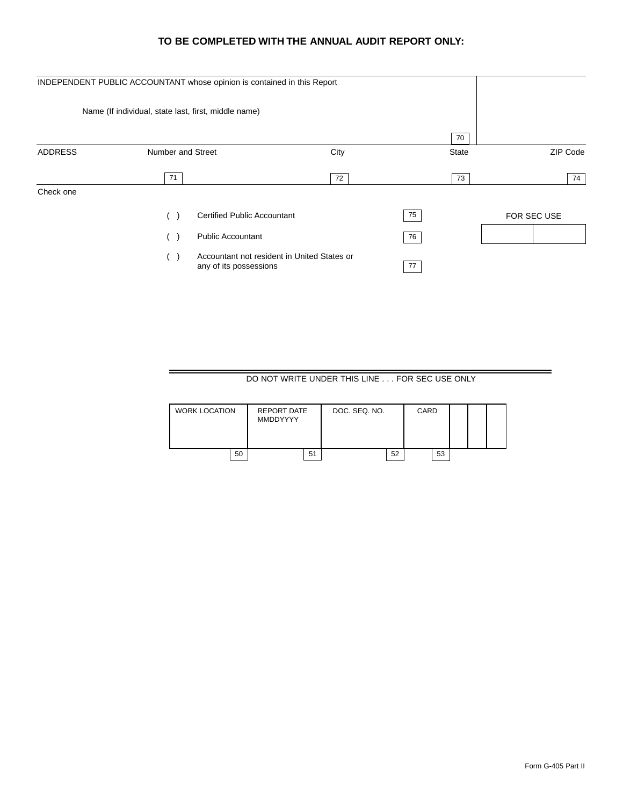## **TO BE COMPLETED WITH THE ANNUAL AUDIT REPORT ONLY:**

|                | INDEPENDENT PUBLIC ACCOUNTANT whose opinion is contained in this Report        |      |    |                          |
|----------------|--------------------------------------------------------------------------------|------|----|--------------------------|
|                | Name (If individual, state last, first, middle name)                           |      |    |                          |
|                |                                                                                |      |    | 70                       |
| <b>ADDRESS</b> | Number and Street                                                              | City |    | ZIP Code<br><b>State</b> |
|                | 71                                                                             | 72   |    | 74<br>73                 |
| Check one      |                                                                                |      |    |                          |
|                | <b>Certified Public Accountant</b><br>(                                        |      | 75 | FOR SEC USE              |
|                | <b>Public Accountant</b><br>$($ )                                              |      | 76 |                          |
|                | Accountant not resident in United States or<br>$($ )<br>any of its possessions |      | 77 |                          |

DO NOT WRITE UNDER THIS LINE . . . FOR SEC USE ONLY

| <b>WORK LOCATION</b> | REPORT DATE<br><b>MMDDYYYY</b> |    | DOC. SEQ. NO. |    | CARD |    |  |  |
|----------------------|--------------------------------|----|---------------|----|------|----|--|--|
| 50                   |                                | 51 |               | 52 |      | 53 |  |  |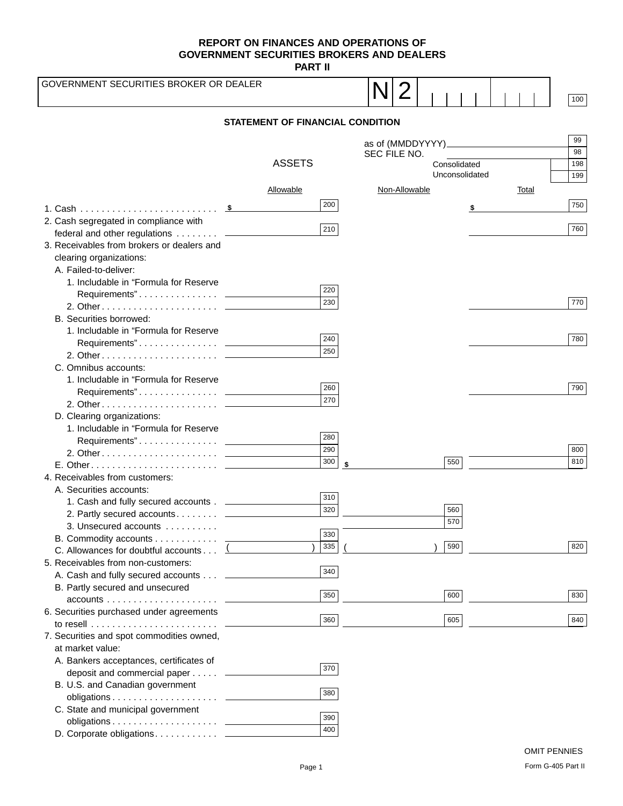**PART II**

| GOVERNMENT SECURITIES BROKER OR DEALER                                                  |                                         |                  |              |               |                |    |       | 100 |
|-----------------------------------------------------------------------------------------|-----------------------------------------|------------------|--------------|---------------|----------------|----|-------|-----|
|                                                                                         | <b>STATEMENT OF FINANCIAL CONDITION</b> |                  |              |               |                |    |       |     |
|                                                                                         |                                         |                  |              |               |                |    |       | 99  |
|                                                                                         |                                         |                  | SEC FILE NO. |               |                |    |       | 98  |
|                                                                                         | <b>ASSETS</b>                           |                  |              |               | Consolidated   |    |       | 198 |
|                                                                                         |                                         |                  |              |               | Unconsolidated |    |       | 199 |
|                                                                                         | <b>Allowable</b>                        |                  |              | Non-Allowable |                |    | Total |     |
|                                                                                         |                                         | 200              |              |               |                |    |       | 750 |
|                                                                                         |                                         |                  |              |               |                | \$ |       |     |
| 2. Cash segregated in compliance with                                                   |                                         | 210              |              |               |                |    |       | 760 |
| federal and other regulations ___________<br>3. Receivables from brokers or dealers and |                                         |                  |              |               |                |    |       |     |
| clearing organizations:                                                                 |                                         |                  |              |               |                |    |       |     |
| A. Failed-to-deliver:                                                                   |                                         |                  |              |               |                |    |       |     |
| 1. Includable in "Formula for Reserve                                                   |                                         |                  |              |               |                |    |       |     |
|                                                                                         |                                         | 220              |              |               |                |    |       |     |
|                                                                                         |                                         | 230              |              |               |                |    |       | 770 |
| B. Securities borrowed:                                                                 |                                         |                  |              |               |                |    |       |     |
| 1. Includable in "Formula for Reserve                                                   |                                         |                  |              |               |                |    |       |     |
|                                                                                         |                                         | 240              |              |               |                |    |       | 780 |
|                                                                                         |                                         | 250              |              |               |                |    |       |     |
| C. Omnibus accounts:                                                                    |                                         |                  |              |               |                |    |       |     |
| 1. Includable in "Formula for Reserve                                                   |                                         | 260              |              |               |                |    |       | 790 |
|                                                                                         |                                         | 270              |              |               |                |    |       |     |
|                                                                                         |                                         |                  |              |               |                |    |       |     |
| D. Clearing organizations:<br>1. Includable in "Formula for Reserve                     |                                         |                  |              |               |                |    |       |     |
|                                                                                         |                                         | 280              |              |               |                |    |       |     |
|                                                                                         |                                         | 290              |              |               |                |    |       | 800 |
|                                                                                         |                                         | 300              |              |               | 550            |    |       | 810 |
| 4. Receivables from customers:                                                          |                                         |                  |              |               |                |    |       |     |
| A. Securities accounts:                                                                 |                                         |                  |              |               |                |    |       |     |
| 1. Cash and fully secured accounts . _____________                                      |                                         | 310              |              |               |                |    |       |     |
| 2. Partly secured accounts ______________                                               |                                         | $\overline{320}$ |              |               | 560            |    |       |     |
| 3. Unsecured accounts                                                                   |                                         |                  |              |               | 570            |    |       |     |
| B. Commodity accounts _                                                                 |                                         | $330$<br>335     |              |               | 590            |    |       | 820 |
| C. Allowances for doubtful accounts                                                     |                                         |                  |              |               |                |    |       |     |
| 5. Receivables from non-customers:                                                      |                                         | 340              |              |               |                |    |       |     |
| A. Cash and fully secured accounts ______                                               |                                         |                  |              |               |                |    |       |     |
| B. Partly secured and unsecured                                                         |                                         | 350              |              |               | 600            |    |       | 830 |
| 6. Securities purchased under agreements                                                |                                         |                  |              |               |                |    |       |     |
|                                                                                         |                                         | 360              |              |               | 605            |    |       | 840 |
| 7. Securities and spot commodities owned,                                               |                                         |                  |              |               |                |    |       |     |
| at market value:                                                                        |                                         |                  |              |               |                |    |       |     |
| A. Bankers acceptances, certificates of                                                 |                                         |                  |              |               |                |    |       |     |
| deposit and commercial paper ________                                                   |                                         | 370              |              |               |                |    |       |     |
| B. U.S. and Canadian government                                                         |                                         |                  |              |               |                |    |       |     |
|                                                                                         |                                         | 380              |              |               |                |    |       |     |
| C. State and municipal government                                                       |                                         | 390              |              |               |                |    |       |     |
|                                                                                         |                                         | 400              |              |               |                |    |       |     |
| D. Corporate obligations. _________                                                     |                                         |                  |              |               |                |    |       |     |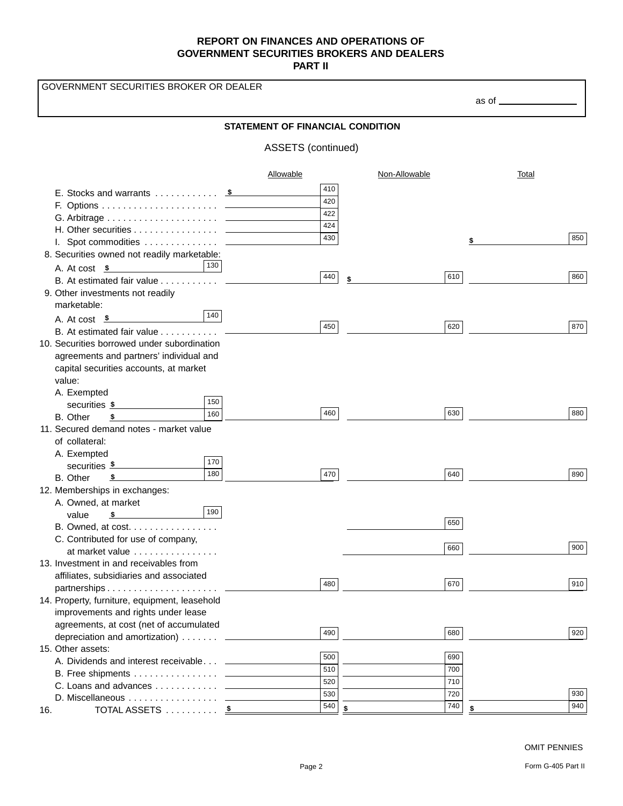GOVERNMENT SECURITIES BROKER OR DEALER

as of

## **STATEMENT OF FINANCIAL CONDITION**

## ASSETS (continued)

|                                                           | Allowable | Non-Allowable | <b>Total</b> |
|-----------------------------------------------------------|-----------|---------------|--------------|
|                                                           | 410       |               |              |
|                                                           | 420       |               |              |
|                                                           | 422       |               |              |
|                                                           | 424       |               |              |
|                                                           | 430       |               | 850          |
|                                                           |           |               |              |
| 8. Securities owned not readily marketable:               |           |               |              |
| 130 <br>A. At cost \$                                     | 440       | 610           | 860          |
| B. At estimated fair value _____________                  |           | \$            |              |
| 9. Other investments not readily                          |           |               |              |
| marketable:                                               |           |               |              |
| 140 <br>A. At cost $\frac{1}{2}$                          | 450       | 620           |              |
| B. At estimated fair value -                              |           |               | 870          |
| 10. Securities borrowed under subordination               |           |               |              |
| agreements and partners' individual and                   |           |               |              |
| capital securities accounts, at market                    |           |               |              |
| value:                                                    |           |               |              |
| A. Exempted                                               |           |               |              |
| 150<br>securities \$                                      |           |               |              |
| 160<br>B. Other<br>\$                                     | 460       | 630           | 880          |
| 11. Secured demand notes - market value                   |           |               |              |
| of collateral:                                            |           |               |              |
| A. Exempted                                               |           |               |              |
| 170<br>securities \$                                      |           |               |              |
| 180<br>B. Other<br>$\frac{\textstyle 5}{\textstyle \sim}$ | 470       | 640           | 890          |
| 12. Memberships in exchanges:                             |           |               |              |
| A. Owned, at market                                       |           |               |              |
| 190<br>$\sim$<br>value                                    |           |               |              |
| B. Owned, at cost.                                        |           | 650           |              |
| C. Contributed for use of company,                        |           |               |              |
| at market value                                           |           | 660           | 900          |
| 13. Investment in and receivables from                    |           |               |              |
| affiliates, subsidiaries and associated                   |           |               |              |
|                                                           | 480       | 670           | 910          |
| 14. Property, furniture, equipment, leasehold             |           |               |              |
| improvements and rights under lease                       |           |               |              |
| agreements, at cost (net of accumulated                   |           |               |              |
| depreciation and amortization)                            | 490       | 680           | 920          |
| 15. Other assets:                                         |           |               |              |
| A. Dividends and interest receivable _                    | 500       | 690           |              |
| B. Free shipments _____                                   | 510       | 700           |              |
| C. Loans and advances _____                               | 520       | 710           |              |
| D. Miscellaneous _                                        | 530       | 720           | 930          |
| TOTAL ASSETS <u>\$</u><br>16.                             | 540       | 740<br>\$     | 940          |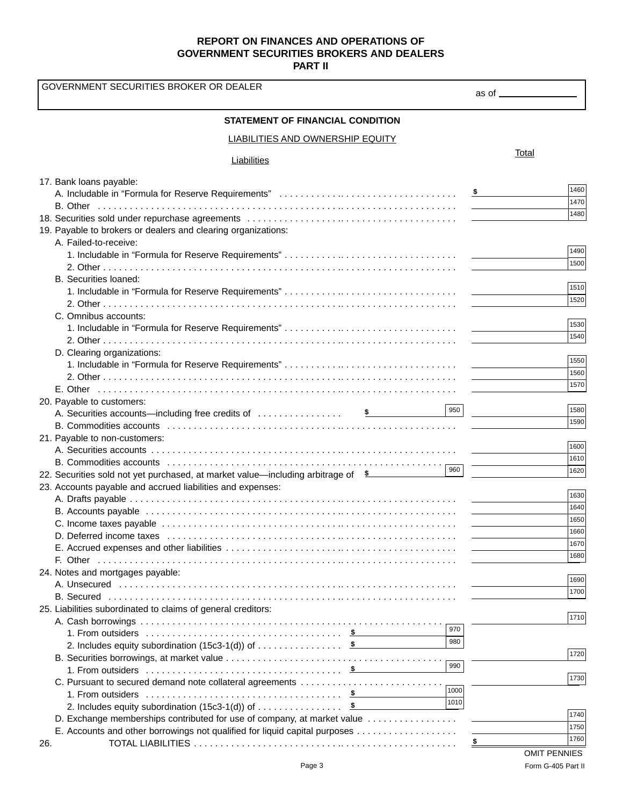| GOVERNMENT SECURITIES BROKER OR DEALER                                                  |                     |
|-----------------------------------------------------------------------------------------|---------------------|
|                                                                                         | as of ___________   |
| <b>STATEMENT OF FINANCIAL CONDITION</b>                                                 |                     |
| <b>LIABILITIES AND OWNERSHIP EQUITY</b>                                                 |                     |
| Liabilities                                                                             | Total               |
| 17. Bank loans payable:                                                                 |                     |
|                                                                                         | 1460                |
|                                                                                         | 1470                |
|                                                                                         | 1480                |
| 19. Payable to brokers or dealers and clearing organizations:                           |                     |
| A. Failed-to-receive:                                                                   |                     |
|                                                                                         | 1490                |
|                                                                                         | 1500                |
| B. Securities loaned:                                                                   | 1510                |
|                                                                                         | 1520                |
|                                                                                         |                     |
| C. Omnibus accounts:                                                                    | 1530                |
|                                                                                         | 1540                |
|                                                                                         |                     |
| D. Clearing organizations:                                                              | 1550                |
|                                                                                         | 1560                |
|                                                                                         | 1570                |
|                                                                                         |                     |
| 20. Payable to customers:<br>950                                                        | 1580                |
|                                                                                         | 1590                |
| 21. Payable to non-customers:                                                           |                     |
|                                                                                         | 1600                |
|                                                                                         | 1610                |
| 960<br>22. Securities sold not yet purchased, at market value—including arbitrage of \$ | 1620                |
| 23. Accounts payable and accrued liabilities and expenses:                              |                     |
|                                                                                         | 1630                |
|                                                                                         | 1640                |
|                                                                                         | 1650                |
|                                                                                         | 1660                |
|                                                                                         | 1670                |
|                                                                                         | 1680                |
| 24. Notes and mortgages payable:                                                        |                     |
|                                                                                         | 1690                |
|                                                                                         | 1700                |
| 25. Liabilities subordinated to claims of general creditors:                            |                     |
|                                                                                         | 1710                |
| 970                                                                                     |                     |
| 980                                                                                     |                     |
| 990                                                                                     | 1720                |
|                                                                                         |                     |
| C. Pursuant to secured demand note collateral agreements<br>1000                        | 1730                |
| 1010                                                                                    |                     |
|                                                                                         | 1740                |
| D. Exchange memberships contributed for use of company, at market value                 | 1750                |
| E. Accounts and other borrowings not qualified for liquid capital purposes              | 1760                |
| 26.                                                                                     | <b>OMIT PENNIES</b> |
|                                                                                         |                     |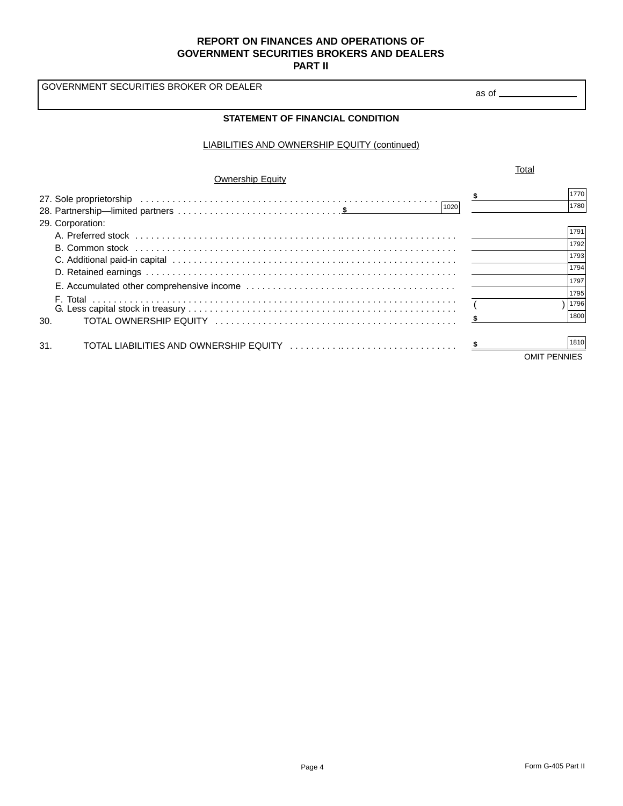GOVERNMENT SECURITIES BROKER OR DEALER

#### LIABILITIES AND OWNERSHIP EQUITY (continued)

|                         | Total |                     |
|-------------------------|-------|---------------------|
| <b>Ownership Equity</b> |       |                     |
|                         | S     | 1770                |
| 1020                    |       | 1780                |
| 29. Corporation:        |       |                     |
|                         |       | 1791                |
|                         |       | 1792                |
|                         |       | 1793                |
|                         |       | 1794                |
|                         |       | 1797                |
|                         |       | 1795                |
|                         |       | 1796                |
| 30.                     |       | 1800                |
|                         |       |                     |
| 31.                     |       | 1810                |
|                         |       | <b>OMIT PENNIES</b> |

as of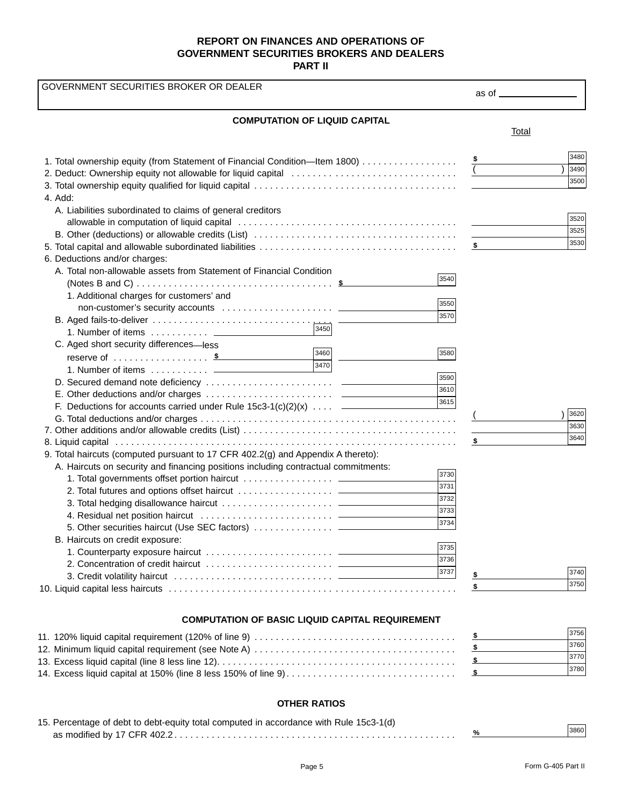1. Total ownership equity (from Statement of Financial Condition—Item 1800) . . . . . . . . . . . . . . . . . . 2. Deduct: Ownership equity not allowable for liquid capital . . . . . . . . . . . . . . . . . . . . . . . . . . . . . . . 3. Total ownership equity qualified for liquid capital . . . . . . . . . . . . . . . . . . . . . . . . . . . . . . . . . . . . . . 4. Add: A. Liabilities subordinated to claims of general creditors allowable in computation of liquid capital . . . . . . . . . . . . . . . . . . . . . . . . . . . . . . . . . . . . . . . . . B. Other (deductions) or allowable credits (List) . . . . . . . . . . . . . . . . . . . . . . . . . . . . . . . . . . . . . . 5. Total capital and allowable subordinated liabilities . . . . . . . . . . . . . . . . . . . . . . . . . . . . . . . . . . . . . 6. Deductions and/or charges: A. Total non-allowable assets from Statement of Financial Condition (Notes B and C) . . . . . . . . . . . . . . . . . . . . . . . . . . . . . . . . . . . . . **\$** 1. Additional charges for customers' and non-customer's security accounts ....................... B. Aged fails-to-deliver . . . . . . . . . . . . . . . . . . . . . . . . . . . . . . . . . . 1. Number of items . . . . . . . . . . <u>. . . . . . .</u> C. Aged short security differences—less reserve of . . . . . . . . . . . . . . . . . . **\$** <sup>3460</sup> 1. Number of items . . . . . . . . . . . D. Secured demand note deficiency . . . . . . . . . . . . . . . . . . . . . . . . E. Other deductions and/or charges . . . . . . . . . . . . . . . . . . . . . . . . F. Deductions for accounts carried under Rule  $15c3-1(c)(2)(x)$  ....  $-$ G. Total deductions and/or charges . . . . . . . . . . . . . . . . . . . . . . . . . . . . . . . . . . . . . . . . . . . . . . . . 7. Other additions and/or allowable credits (List) . . . . . . . . . . . . . . . . . . . . . . . . . . . . . . . . . . . . . . . . 8. Liquid capital . . . . . . . . . . . . . . . . . . . . . . . . . . . . . . . . . . . . . . . . . . . . . . . . . . . . . . . . . . . . . . . . 9. Total haircuts (computed pursuant to 17 CFR 402.2(g) and Appendix A thereto): A. Haircuts on security and financing positions including contractual commitments: 1. Total governments offset portion haircut . . . . . . . . . . . . . . . . . 2. Total futures and options offset haircut  $\dots\dots\dots\dots\dots\dots\dots$ 3. Total hedging disallowance haircut  $\dots\dots\dots\dots\dots\dots\dots\dots$ 4. Residual net position haircut . . . . . . . . . . . . . . . . . . . . . . . . . 5. Other securities haircut (Use SEC factors) . . . . . . . . . . . . . . . B. Haircuts on credit exposure: 1. Counterparty exposure haircut . . . . . . . . . . . . . . . . . . . . . . . . 2. Concentration of credit haircut . . . . . . . . . . . . . . . . . . . . . . . . 3. Credit volatility haircut . . . . . . . . . . . . . . . . . . . . . . . . . . . . . . 10. Liquid capital less haircuts . . . . . . . . . . . . . . . . . . . . . . . . . . . . . . . . . . . . . . . . . . . . . . . . . . . . . . GOVERNMENT SECURITIES BROKER OR DEALER **COMPUTATION OF LIQUID CAPITAL** Total **\$**  $($  ) **\$ \$**  $($  ) **\$ \$** as of 3480 3490 3500 3520 3525 3530 3590 3610 3615 3540 3550 3570 3450 3580 3470 3620 3630 3640 3730 3731 3732 3733 3734 3735 3736 3737 c 3750

#### **COMPUTATION OF BASIC LIQUID CAPITAL REQUIREMENT**

|  | 3756 |
|--|------|
|  | 3760 |
|  | 3770 |
|  | 3780 |
|  |      |

#### **OTHER RATIOS**

| 15. Percentage of debt to debt-equity total computed in accordance with Rule 15c3-1(d) |      |
|----------------------------------------------------------------------------------------|------|
|                                                                                        | 3860 |
|                                                                                        |      |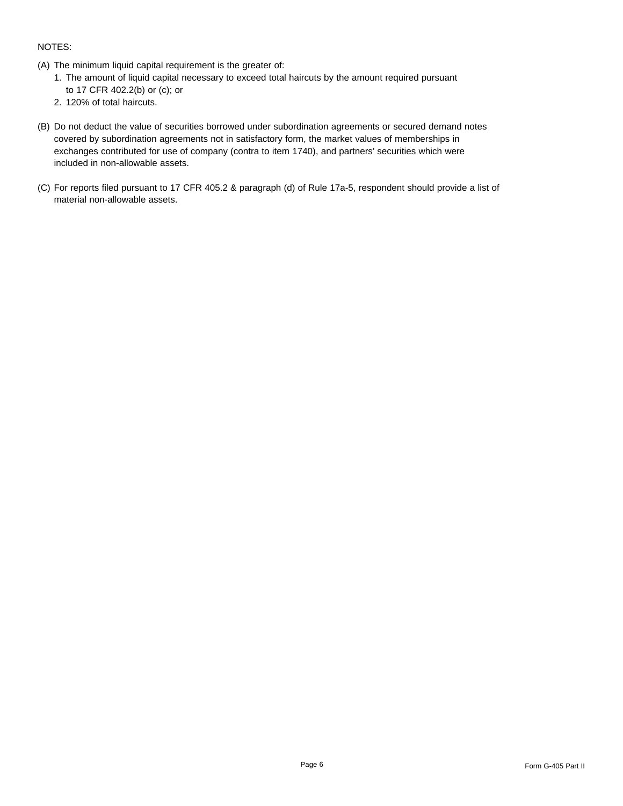## NOTES:

- (A) The minimum liquid capital requirement is the greater of:
	- 1. The amount of liquid capital necessary to exceed total haircuts by the amount required pursuant to 17 CFR 402.2(b) or (c); or
	- 2. 120% of total haircuts.
- (B) Do not deduct the value of securities borrowed under subordination agreements or secured demand notes covered by subordination agreements not in satisfactory form, the market values of memberships in exchanges contributed for use of company (contra to item 1740), and partners' securities which were included in non-allowable assets.
- (C) For reports filed pursuant to 17 CFR 405.2 & paragraph (d) of Rule 17a-5, respondent should provide a list of material non-allowable assets.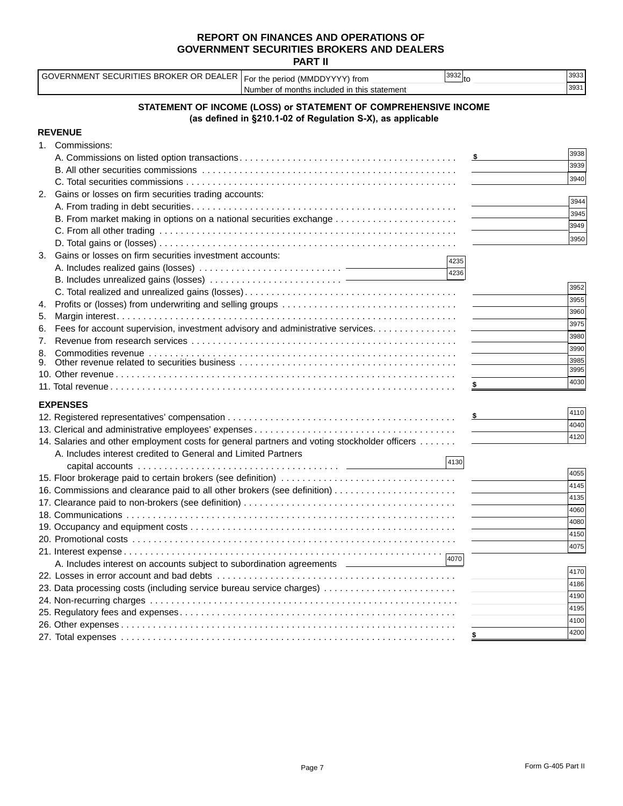**PART II**

|    | GOVERNMENT SECURITIES BROKER OR DEALER For the period (MMDDYYYY) from                        |                                                                 | $\vert$ 3932 $\vert_{\text{to}}$ |                                                                                                                                                                                                                                                                                                                                                                                                                                                                            | 3933 |
|----|----------------------------------------------------------------------------------------------|-----------------------------------------------------------------|----------------------------------|----------------------------------------------------------------------------------------------------------------------------------------------------------------------------------------------------------------------------------------------------------------------------------------------------------------------------------------------------------------------------------------------------------------------------------------------------------------------------|------|
|    |                                                                                              | Number of months included in this statement                     |                                  |                                                                                                                                                                                                                                                                                                                                                                                                                                                                            | 3931 |
|    |                                                                                              | STATEMENT OF INCOME (LOSS) or STATEMENT OF COMPREHENSIVE INCOME |                                  |                                                                                                                                                                                                                                                                                                                                                                                                                                                                            |      |
|    |                                                                                              | (as defined in §210.1-02 of Regulation S-X), as applicable      |                                  |                                                                                                                                                                                                                                                                                                                                                                                                                                                                            |      |
|    | <b>REVENUE</b>                                                                               |                                                                 |                                  |                                                                                                                                                                                                                                                                                                                                                                                                                                                                            |      |
|    | 1. Commissions:                                                                              |                                                                 |                                  |                                                                                                                                                                                                                                                                                                                                                                                                                                                                            |      |
|    |                                                                                              |                                                                 |                                  | $\sim$ $\sim$                                                                                                                                                                                                                                                                                                                                                                                                                                                              | 3938 |
|    |                                                                                              |                                                                 |                                  |                                                                                                                                                                                                                                                                                                                                                                                                                                                                            | 3939 |
|    |                                                                                              |                                                                 |                                  |                                                                                                                                                                                                                                                                                                                                                                                                                                                                            | 3940 |
| 2. | Gains or losses on firm securities trading accounts:                                         |                                                                 |                                  |                                                                                                                                                                                                                                                                                                                                                                                                                                                                            |      |
|    |                                                                                              |                                                                 |                                  |                                                                                                                                                                                                                                                                                                                                                                                                                                                                            | 3944 |
|    |                                                                                              |                                                                 |                                  |                                                                                                                                                                                                                                                                                                                                                                                                                                                                            | 3945 |
|    |                                                                                              |                                                                 |                                  |                                                                                                                                                                                                                                                                                                                                                                                                                                                                            | 3949 |
|    |                                                                                              |                                                                 |                                  |                                                                                                                                                                                                                                                                                                                                                                                                                                                                            | 3950 |
| 3. | Gains or losses on firm securities investment accounts:                                      |                                                                 |                                  |                                                                                                                                                                                                                                                                                                                                                                                                                                                                            |      |
|    |                                                                                              |                                                                 | 4235                             |                                                                                                                                                                                                                                                                                                                                                                                                                                                                            |      |
|    |                                                                                              |                                                                 | 4236                             |                                                                                                                                                                                                                                                                                                                                                                                                                                                                            |      |
|    |                                                                                              |                                                                 |                                  |                                                                                                                                                                                                                                                                                                                                                                                                                                                                            | 3952 |
| 4. |                                                                                              |                                                                 |                                  |                                                                                                                                                                                                                                                                                                                                                                                                                                                                            | 3955 |
| 5. |                                                                                              |                                                                 |                                  |                                                                                                                                                                                                                                                                                                                                                                                                                                                                            | 3960 |
| 6. | Fees for account supervision, investment advisory and administrative services.               |                                                                 |                                  |                                                                                                                                                                                                                                                                                                                                                                                                                                                                            | 3975 |
| 7. |                                                                                              |                                                                 |                                  |                                                                                                                                                                                                                                                                                                                                                                                                                                                                            | 3980 |
| 8. |                                                                                              |                                                                 |                                  |                                                                                                                                                                                                                                                                                                                                                                                                                                                                            | 3990 |
| 9. |                                                                                              |                                                                 |                                  |                                                                                                                                                                                                                                                                                                                                                                                                                                                                            | 3985 |
|    |                                                                                              |                                                                 |                                  |                                                                                                                                                                                                                                                                                                                                                                                                                                                                            | 3995 |
|    |                                                                                              |                                                                 |                                  |                                                                                                                                                                                                                                                                                                                                                                                                                                                                            | 4030 |
|    | <b>EXPENSES</b>                                                                              |                                                                 |                                  |                                                                                                                                                                                                                                                                                                                                                                                                                                                                            |      |
|    |                                                                                              |                                                                 |                                  | $\sim$ 5 $\sim$ 5 $\sim$ 5 $\sim$ 5 $\sim$ 5 $\sim$ 5 $\sim$ 5 $\sim$ 5 $\sim$ 5 $\sim$ 5 $\sim$ 5 $\sim$ 5 $\sim$ 5 $\sim$ 5 $\sim$ 5 $\sim$ 5 $\sim$ 5 $\sim$ 5 $\sim$ 5 $\sim$ 5 $\sim$ 5 $\sim$ 5 $\sim$ 5 $\sim$ 5 $\sim$ 5 $\sim$ 5 $\sim$ 5 $\sim$ 5 $\sim$ 5 $\sim$ 5 $\sim$ 5 $\sim$                                                                                                                                                                              | 4110 |
|    |                                                                                              |                                                                 |                                  |                                                                                                                                                                                                                                                                                                                                                                                                                                                                            | 4040 |
|    |                                                                                              |                                                                 |                                  |                                                                                                                                                                                                                                                                                                                                                                                                                                                                            | 4120 |
|    | 14. Salaries and other employment costs for general partners and voting stockholder officers |                                                                 |                                  |                                                                                                                                                                                                                                                                                                                                                                                                                                                                            |      |
|    | A. Includes interest credited to General and Limited Partners                                |                                                                 | 4130                             |                                                                                                                                                                                                                                                                                                                                                                                                                                                                            |      |
|    |                                                                                              |                                                                 |                                  |                                                                                                                                                                                                                                                                                                                                                                                                                                                                            | 4055 |
|    |                                                                                              |                                                                 |                                  |                                                                                                                                                                                                                                                                                                                                                                                                                                                                            | 4145 |
|    |                                                                                              |                                                                 |                                  |                                                                                                                                                                                                                                                                                                                                                                                                                                                                            | 4135 |
|    |                                                                                              |                                                                 |                                  | $\frac{1}{2} \left( \frac{1}{2} \right) \left( \frac{1}{2} \right) \left( \frac{1}{2} \right) \left( \frac{1}{2} \right) \left( \frac{1}{2} \right) \left( \frac{1}{2} \right) \left( \frac{1}{2} \right) \left( \frac{1}{2} \right) \left( \frac{1}{2} \right) \left( \frac{1}{2} \right) \left( \frac{1}{2} \right) \left( \frac{1}{2} \right) \left( \frac{1}{2} \right) \left( \frac{1}{2} \right) \left( \frac{1}{2} \right) \left( \frac{1}{2} \right) \left( \frac$ | 4060 |
|    |                                                                                              |                                                                 |                                  |                                                                                                                                                                                                                                                                                                                                                                                                                                                                            | 4080 |
|    |                                                                                              |                                                                 |                                  |                                                                                                                                                                                                                                                                                                                                                                                                                                                                            | 4150 |
|    |                                                                                              |                                                                 |                                  |                                                                                                                                                                                                                                                                                                                                                                                                                                                                            | 4075 |
|    |                                                                                              |                                                                 | 4070                             |                                                                                                                                                                                                                                                                                                                                                                                                                                                                            |      |
|    | A. Includes interest on accounts subject to subordination agreements ____________            |                                                                 |                                  |                                                                                                                                                                                                                                                                                                                                                                                                                                                                            |      |
|    |                                                                                              |                                                                 |                                  |                                                                                                                                                                                                                                                                                                                                                                                                                                                                            | 4170 |
|    | 23. Data processing costs (including service bureau service charges)                         |                                                                 |                                  |                                                                                                                                                                                                                                                                                                                                                                                                                                                                            | 4186 |
|    |                                                                                              |                                                                 |                                  |                                                                                                                                                                                                                                                                                                                                                                                                                                                                            | 4190 |
|    |                                                                                              |                                                                 |                                  |                                                                                                                                                                                                                                                                                                                                                                                                                                                                            | 4195 |
|    |                                                                                              |                                                                 |                                  |                                                                                                                                                                                                                                                                                                                                                                                                                                                                            | 4100 |
|    |                                                                                              |                                                                 |                                  |                                                                                                                                                                                                                                                                                                                                                                                                                                                                            | 4200 |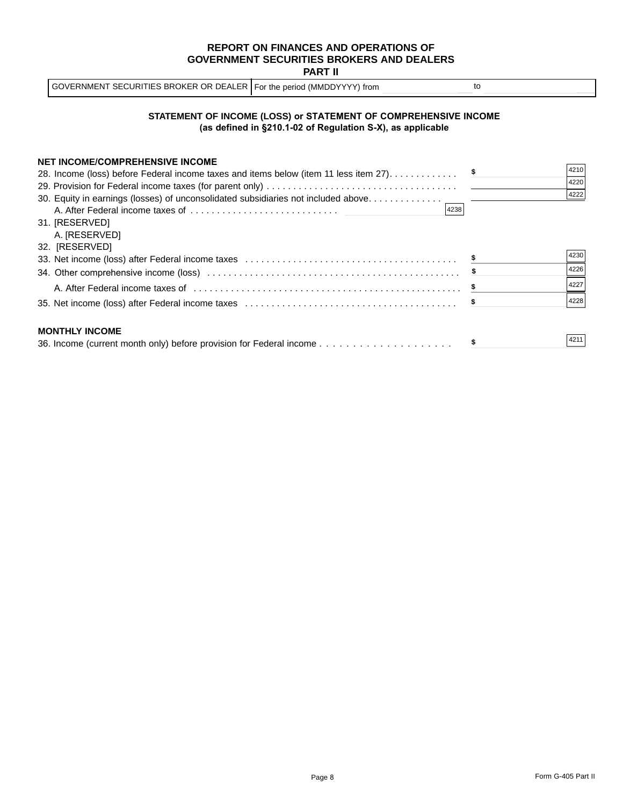| GOVERNMENT SECURITIES BROKER OR DEALER For the period (MMDDYYYY) from |  |  |
|-----------------------------------------------------------------------|--|--|
|-----------------------------------------------------------------------|--|--|

#### **STATEMENT OF INCOME (LOSS) or STATEMENT OF COMPREHENSIVE INCOME (as defined in §210.1-02 of Regulation S-X), as applicable**

| <b>NET INCOME/COMPREHENSIVE INCOME</b>                                               |      |
|--------------------------------------------------------------------------------------|------|
| 28. Income (loss) before Federal income taxes and items below (item 11 less item 27) | 4210 |
|                                                                                      | 4220 |
| 30. Equity in earnings (losses) of unconsolidated subsidiaries not included above    | 4222 |
| 4238                                                                                 |      |
| 31. [RESERVED]                                                                       |      |
| A. [RESERVED]                                                                        |      |
| 32. [RESERVED]                                                                       |      |
|                                                                                      | 4230 |
|                                                                                      | 4226 |
|                                                                                      | 4227 |
|                                                                                      | 4228 |
| <b>MONTHLY INCOME</b>                                                                |      |
|                                                                                      | 4211 |
|                                                                                      |      |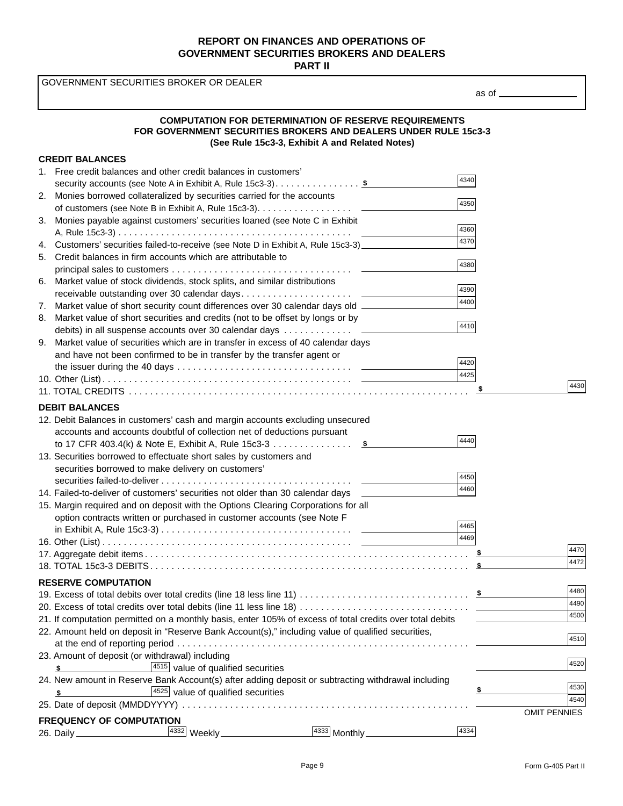GOVERNMENT SECURITIES BROKER OR DEALER

as of

### **COMPUTATION FOR DETERMINATION OF RESERVE REQUIREMENTS FOR GOVERNMENT SECURITIES BROKERS AND DEALERS UNDER RULE 15c3-3 (See Rule 15c3-3, Exhibit A and Related Notes)**

#### **CREDIT BALANCES** 1. Free credit balances and other credit balances in customers' security accounts (see Note A in Exhibit A, Rule 15c3-3). . . . . . . . . . . . . . . . **\$** 2. Monies borrowed collateralized by securities carried for the accounts of customers (see Note B in Exhibit A, Rule 15c3-3). . . . . . . . . . . . . . . . . . 3. Monies payable against customers' securities loaned (see Note C in Exhibit A, Rule 15c3-3) . . . . . . . . . . . . . . . . . . . . . . . . . . . . . . . . . . . . . . . . . . . . 4. Customers' securities failed-to-receive (see Note D in Exhibit A, Rule 15c3-3) 5. Credit balances in firm accounts which are attributable to principal sales to customers . . . . . . . . . . . . . . . . . . . . . . . . . . . . . . . . . . 6. Market value of stock dividends, stock splits, and similar distributions receivable outstanding over 30 calendar days. . . . . . . . . . . . . . . . . . . . . 7. Market value of short security count differences over 30 calendar days old 8. Market value of short securities and credits (not to be offset by longs or by debits) in all suspense accounts over 30 calendar days . . . . . . . . . . . . . 9. Market value of securities which are in transfer in excess of 40 calendar days and have not been confirmed to be in transfer by the transfer agent or the issuer during the 40 days  $\dots \dots \dots \dots \dots \dots \dots \dots \dots \dots \dots \dots \dots$ 10. Other (List) . . . . . . . . . . . . . . . . . . . . . . . . . . . . . . . . . . . . . . . . . . . . . . . 11. TOTAL CREDITS . . . . . . . . . . . . . . . . . . . . . . . . . . . . . . . . . . . . . . . . . . . . . . . . . . . . . . . . . . . . . . . . **DEBIT BALANCES** 12. Debit Balances in customers' cash and margin accounts excluding unsecured accounts and accounts doubtful of collection net of deductions pursuant to 17 CFR 403.4(k) & Note E, Exhibit A, Rule 15c3-3 . . . . . . . . . . . . . .  $\frac{\$}{}$ 13. Securities borrowed to effectuate short sales by customers and securities borrowed to make delivery on customers' securities failed-to-deliver . . . . . . . . . . . . . . . . . . . . . . . . . . . . . . . . . . . . 14. Failed-to-deliver of customers' securities not older than 30 calendar days 15. Margin required and on deposit with the Options Clearing Corporations for all option contracts written or purchased in customer accounts (see Note F in Exhibit A, Rule 15c3-3) . . . . . . . . . . . . . . . . . . . . . . . . . . . . . . . . . . . . 16. Other (List) . . . . . . . . . . . . . . . . . . . . . . . . . . . . . . . . . . . . . . . . . . . . . . . 17. Aggregate debit items . . . . . . . . . . . . . . . . . . . . . . . . . . . . . . . . . . . . . . . . . . . . . . . . . . . . . . . . . . . . . 18. TOTAL 15c3-3 DEBITS . . . . . . . . . . . . . . . . . . . . . . . . . . . . . . . . . . . . . . . . . . . . . . . . . . . . . . . . . . . . **RESERVE COMPUTATION** 19. Excess of total debits over total credits (line 18 less line 11) . . . . . . . . . . . . . . . . . . . . . . . . . . . . . . . . **\$** 20. Excess of total credits over total debits (line 11 less line 18) . . . . . . . . . . . . . . . . . . . . . . . . . . . . . . . . 21. If computation permitted on a monthly basis, enter 105% of excess of total credits over total debits 22. Amount held on deposit in "Reserve Bank Account(s)," including value of qualified securities, at the end of reporting period . . . . . . . . . . . . . . . . . . . . . . . . . . . . . . . . . . . . . . . . . . . . . . . . . . . . . . . 23. Amount of deposit (or withdrawal) including **\$ \$ \$** 4340 **\$** <sup>4440</sup> 4350 4380 4410 4360 4370 4390 4400 4420 4425 4450 4460 **AAG5** 4469

| $\left  \frac{4515}{ } \right $ value of qualified securities                                      | 4520                |
|----------------------------------------------------------------------------------------------------|---------------------|
| 24. New amount in Reserve Bank Account(s) after adding deposit or subtracting withdrawal including |                     |
| $4525$ value of qualified securities                                                               | 4530                |
|                                                                                                    | 4540                |
|                                                                                                    | <b>OMIT PENNIES</b> |
| <b>FREQUENCY OF COMPUTATION</b>                                                                    |                     |
| 4334<br>4332<br>$\sqrt{4333}$ Monthly<br>Weekly_<br>26. Daily ________________                     |                     |

4510

4470 4472

4480 4490

4500

4430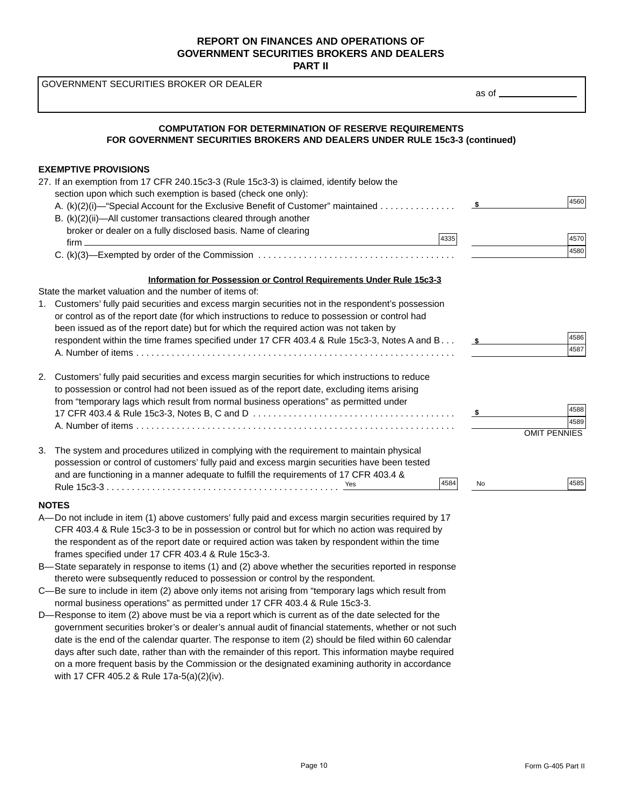GOVERNMENT SECURITIES BROKER OR DEALER

| <b>COMPUTATION FOR DETERMINATION OF RESERVE REQUIREMENTS</b><br>FOR GOVERNMENT SECURITIES BROKERS AND DEALERS UNDER RULE 15c3-3 (continued) |                     |              |
|---------------------------------------------------------------------------------------------------------------------------------------------|---------------------|--------------|
| <b>EXEMPTIVE PROVISIONS</b>                                                                                                                 |                     |              |
| 27. If an exemption from 17 CFR 240.15c3-3 (Rule 15c3-3) is claimed, identify below the                                                     |                     |              |
| section upon which such exemption is based (check one only):                                                                                |                     |              |
| A. (k)(2)(i)—"Special Account for the Exclusive Benefit of Customer" maintained                                                             |                     | 4560         |
| B. (k)(2)(ii)—All customer transactions cleared through another                                                                             |                     |              |
| broker or dealer on a fully disclosed basis. Name of clearing                                                                               | 4335                |              |
| $firm \_\_\_\_\_\$                                                                                                                          |                     | 4570         |
|                                                                                                                                             |                     | 4580         |
| Information for Possession or Control Requirements Under Rule 15c3-3                                                                        |                     |              |
| State the market valuation and the number of items of:                                                                                      |                     |              |
| 1. Customers' fully paid securities and excess margin securities not in the respondent's possession                                         |                     |              |
| or control as of the report date (for which instructions to reduce to possession or control had                                             |                     |              |
| been issued as of the report date) but for which the required action was not taken by                                                       |                     | 4586         |
| respondent within the time frames specified under 17 CFR 403.4 & Rule 15c3-3, Notes A and B                                                 | $\sim$              | 4587         |
|                                                                                                                                             |                     |              |
| 2. Customers' fully paid securities and excess margin securities for which instructions to reduce                                           |                     |              |
| to possession or control had not been issued as of the report date, excluding items arising                                                 |                     |              |
| from "temporary lags which result from normal business operations" as permitted under                                                       |                     |              |
|                                                                                                                                             | $\sim$ 5 $\sim$     | 4588<br>4589 |
|                                                                                                                                             | <b>OMIT PENNIES</b> |              |
| The system and procedures utilized in complying with the requirement to maintain physical<br>3.                                             |                     |              |
| possession or control of customers' fully paid and excess margin securities have been tested                                                |                     |              |
| and are functioning in a manner adequate to fulfill the requirements of 17 CFR 403.4 &                                                      |                     |              |
|                                                                                                                                             | 4584<br><b>No</b>   | 4585         |
| <b>NOTES</b>                                                                                                                                |                     |              |
| A-Do not include in item (1) above customers' fully paid and excess margin securities required by 17                                        |                     |              |
| CFR 403.4 & Rule 15c3-3 to be in possession or control but for which no action was required by                                              |                     |              |

- the respondent as of the report date or required action was taken by respondent within the time frames specified under 17 CFR 403.4 & Rule 15c3-3.
- B—State separately in response to items (1) and (2) above whether the securities reported in response thereto were subsequently reduced to possession or control by the respondent.
- C—Be sure to include in item (2) above only items not arising from "temporary lags which result from normal business operations" as permitted under 17 CFR 403.4 & Rule 15c3-3.
- D—Response to item (2) above must be via a report which is current as of the date selected for the government securities broker's or dealer's annual audit of financial statements, whether or not such date is the end of the calendar quarter. The response to item (2) should be filed within 60 calendar days after such date, rather than with the remainder of this report. This information maybe required on a more frequent basis by the Commission or the designated examining authority in accordance with 17 CFR 405.2 & Rule 17a-5(a)(2)(iv).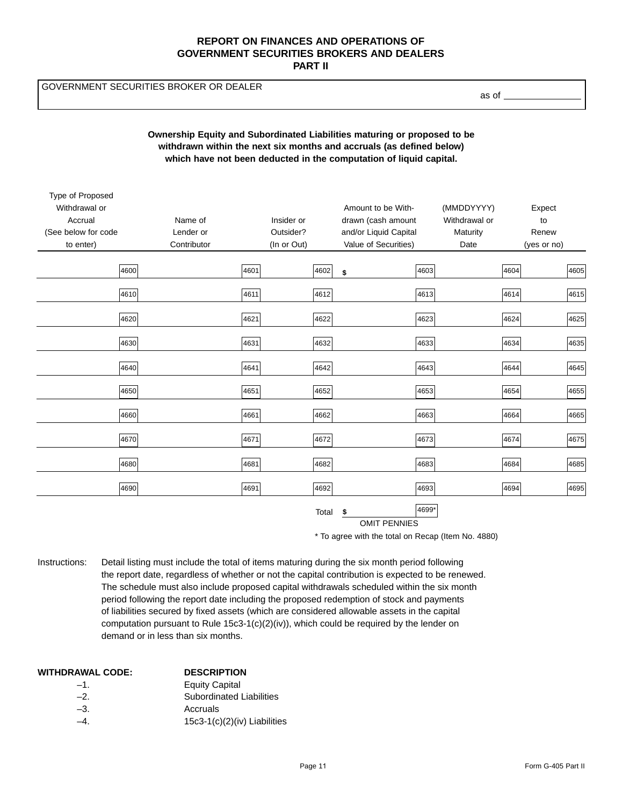GOVERNMENT SECURITIES BROKER OR DEALER

as of

## **Ownership Equity and Subordinated Liabilities maturing or proposed to be withdrawn within the next six months and accruals (as defined below) which have not been deducted in the computation of liquid capital.**

| Type of Proposed    |             |      |             |                       |       |               |      |             |      |
|---------------------|-------------|------|-------------|-----------------------|-------|---------------|------|-------------|------|
| Withdrawal or       |             |      |             | Amount to be With-    |       | (MMDDYYYY)    |      | Expect      |      |
| Accrual             | Name of     |      | Insider or  | drawn (cash amount    |       | Withdrawal or |      | to          |      |
| (See below for code | Lender or   |      | Outsider?   | and/or Liquid Capital |       | Maturity      |      | Renew       |      |
| to enter)           | Contributor |      | (In or Out) | Value of Securities)  |       | Date          |      | (yes or no) |      |
|                     |             |      |             |                       |       |               |      |             |      |
|                     | 4600        | 4601 | 4602        | \$                    | 4603  |               | 4604 |             | 4605 |
|                     | 4610        | 4611 | 4612        |                       | 4613  |               | 4614 |             | 4615 |
|                     |             |      |             |                       |       |               |      |             |      |
|                     | 4620        | 4621 | 4622        |                       | 4623  |               | 4624 |             | 4625 |
|                     |             |      |             |                       |       |               |      |             |      |
|                     | 4630        | 4631 | 4632        |                       | 4633  |               | 4634 |             | 4635 |
|                     | 4640        | 4641 | 4642        |                       | 4643  |               | 4644 |             | 4645 |
|                     |             |      |             |                       |       |               |      |             |      |
|                     | 4650        | 4651 | 4652        |                       | 4653  |               | 4654 |             | 4655 |
|                     | 4660        | 4661 | 4662        |                       | 4663  |               | 4664 |             | 4665 |
|                     |             |      |             |                       |       |               |      |             |      |
|                     | 4670        | 4671 | 4672        |                       | 4673  |               | 4674 |             | 4675 |
|                     |             |      |             |                       |       |               |      |             |      |
|                     | 4680        | 4681 | 4682        |                       | 4683  |               | 4684 |             | 4685 |
|                     | 4690        | 4691 | 4692        |                       | 4693  |               | 4694 |             | 4695 |
|                     |             |      |             |                       |       |               |      |             |      |
|                     |             |      | Total       | \$                    | 4699* |               |      |             |      |
|                     |             |      |             | <b>OMIT PENNIES</b>   |       |               |      |             |      |

\* To agree with the total on Recap (Item No. 4880)

Instructions: Detail listing must include the total of items maturing during the six month period following the report date, regardless of whether or not the capital contribution is expected to be renewed. The schedule must also include proposed capital withdrawals scheduled within the six month period following the report date including the proposed redemption of stock and payments of liabilities secured by fixed assets (which are considered allowable assets in the capital computation pursuant to Rule  $15c3-1(c)(2)(iv)$ , which could be required by the lender on demand or in less than six months.

| WITHDRAWAL CODE: | <b>DESCRIPTION</b>             |
|------------------|--------------------------------|
| $-1$             | <b>Equity Capital</b>          |
| $-2$             | Subordinated Liabilities       |
| $-3$ .           | Accruals                       |
| -4               | $15c3-1(c)(2)(iv)$ Liabilities |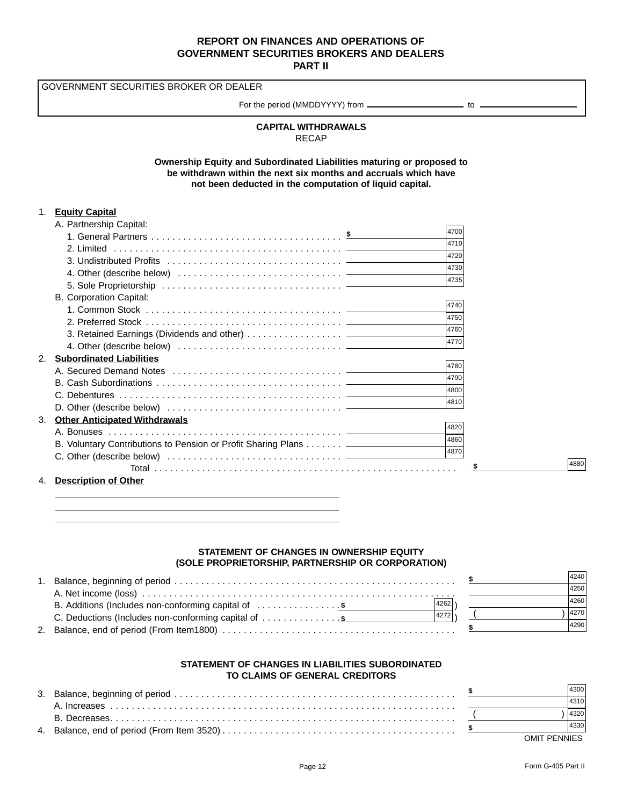GOVERNMENT SECURITIES BROKER OR DEALER

For the period (MMDDYYYY) from \_\_\_\_\_\_\_\_\_\_\_\_\_\_\_\_\_\_\_\_\_\_\_\_\_ to \_

## **CAPITAL WITHDRAWALS** RECAP

**Ownership Equity and Subordinated Liabilities maturing or proposed to be withdrawn within the next six months and accruals which have not been deducted in the computation of liquid capital.**

### 1. **Equity Capital**

| A. Partnership Capital:                    |                                                                            |      |
|--------------------------------------------|----------------------------------------------------------------------------|------|
|                                            |                                                                            | 4700 |
|                                            |                                                                            | 4710 |
|                                            |                                                                            | 4720 |
|                                            |                                                                            | 4730 |
|                                            |                                                                            | 4735 |
| B. Corporation Capital:                    |                                                                            |      |
|                                            |                                                                            | 4740 |
|                                            |                                                                            | 4750 |
|                                            |                                                                            | 4760 |
|                                            |                                                                            | 4770 |
| 2.<br><b>Subordinated Liabilities</b>      |                                                                            |      |
|                                            |                                                                            | 4780 |
|                                            |                                                                            | 4790 |
|                                            |                                                                            | 4800 |
|                                            |                                                                            | 4810 |
| 3.<br><b>Other Anticipated Withdrawals</b> |                                                                            |      |
|                                            |                                                                            | 4820 |
|                                            | B. Voluntary Contributions to Pension or Profit Sharing Plans ____________ | 4860 |
|                                            |                                                                            | 4870 |
|                                            |                                                                            |      |
| 4.<br><b>Description of Other</b>          |                                                                            |      |

4880

## **STATEMENT OF CHANGES IN OWNERSHIP EQUITY (SOLE PROPRIETORSHIP, PARTNERSHIP OR CORPORATION)**

| 4240 |  |
|------|--|
| 4250 |  |
| 4260 |  |
| 4270 |  |
| 4290 |  |
|      |  |

#### **STATEMENT OF CHANGES IN LIABILITIES SUBORDINATED TO CLAIMS OF GENERAL CREDITORS**

|  | 14300        |  |
|--|--------------|--|
|  | 4310         |  |
|  | 4320         |  |
|  | 4330         |  |
|  | OMIT PENNIES |  |